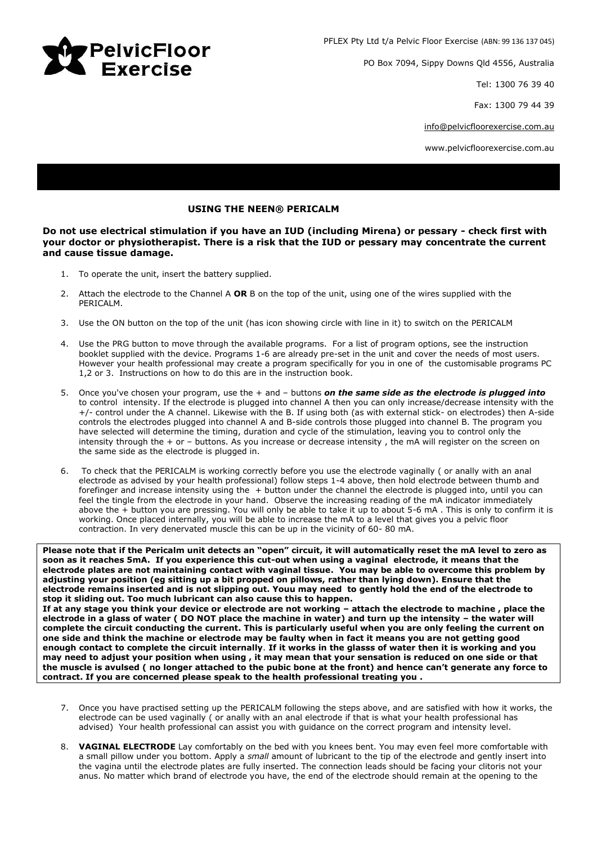

PO Box 7094, Sippy Downs Qld 4556, Australia

Tel: 1300 76 39 40

Fax: 1300 79 44 39

[info@pelvicfloorexercise.com.au](mailto:info@pelvicfloorexercise.com.au)

www.pelvicfloorexercise.com.au

## **USING THE NEEN® PERICALM**

**Do not use electrical stimulation if you have an IUD (including Mirena) or pessary - check first with your doctor or physiotherapist. There is a risk that the IUD or pessary may concentrate the current and cause tissue damage.**

- 1. To operate the unit, insert the battery supplied.
- 2. Attach the electrode to the Channel A **OR** B on the top of the unit, using one of the wires supplied with the PERICALM.
- 3. Use the ON button on the top of the unit (has icon showing circle with line in it) to switch on the PERICALM
- 4. Use the PRG button to move through the available programs. For a list of program options, see the instruction booklet supplied with the device. Programs 1-6 are already pre-set in the unit and cover the needs of most users. However your health professional may create a program specifically for you in one of the customisable programs PC 1,2 or 3. Instructions on how to do this are in the instruction book.
- 5. Once you've chosen your program, use the + and buttons *on the same side as the electrode is plugged into* to control intensity. If the electrode is plugged into channel A then you can only increase/decrease intensity with the +/- control under the A channel. Likewise with the B. If using both (as with external stick- on electrodes) then A-side controls the electrodes plugged into channel A and B-side controls those plugged into channel B. The program you have selected will determine the timing, duration and cycle of the stimulation, leaving you to control only the intensity through the + or – buttons. As you increase or decrease intensity , the mA will register on the screen on the same side as the electrode is plugged in.
- 6. To check that the PERICALM is working correctly before you use the electrode vaginally ( or anally with an anal electrode as advised by your health professional) follow steps 1-4 above, then hold electrode between thumb and forefinger and increase intensity using the + button under the channel the electrode is plugged into, until you can feel the tingle from the electrode in your hand. Observe the increasing reading of the mA indicator immediately above the + button you are pressing. You will only be able to take it up to about 5-6 mA . This is only to confirm it is working. Once placed internally, you will be able to increase the mA to a level that gives you a pelvic floor contraction. In very denervated muscle this can be up in the vicinity of 60- 80 mA.

**Please note that if the Pericalm unit detects an "open" circuit, it will automatically reset the mA level to zero as soon as it reaches 5mA. If you experience this cut-out when using a vaginal electrode, it means that the electrode plates are not maintaining contact with vaginal tissue. You may be able to overcome this problem by adjusting your position (eg sitting up a bit propped on pillows, rather than lying down). Ensure that the electrode remains inserted and is not slipping out. Youu may need to gently hold the end of the electrode to stop it sliding out. Too much lubricant can also cause this to happen. If at any stage you think your device or electrode are not working – attach the electrode to machine , place the electrode in a glass of water ( DO NOT place the machine in water) and turn up the intensity – the water will complete the circuit conducting the current. This is particularly useful when you are only feeling the current on one side and think the machine or electrode may be faulty when in fact it means you are not getting good enough contact to complete the circuit internally**. **If it works in the glasss of water then it is working and you may need to adjust your position when using , it may mean that your sensation is reduced on one side or that the muscle is avulsed ( no longer attached to the pubic bone at the front) and hence can't generate any force to contract. If you are concerned please speak to the health professional treating you .**

- 7. Once you have practised setting up the PERICALM following the steps above, and are satisfied with how it works, the electrode can be used vaginally ( or anally with an anal electrode if that is what your health professional has advised) Your health professional can assist you with guidance on the correct program and intensity level.
- 8. **VAGINAL ELECTRODE** Lay comfortably on the bed with you knees bent. You may even feel more comfortable with a small pillow under you bottom. Apply a *small* amount of lubricant to the tip of the electrode and gently insert into the vagina until the electrode plates are fully inserted. The connection leads should be facing your clitoris not your anus. No matter which brand of electrode you have, the end of the electrode should remain at the opening to the